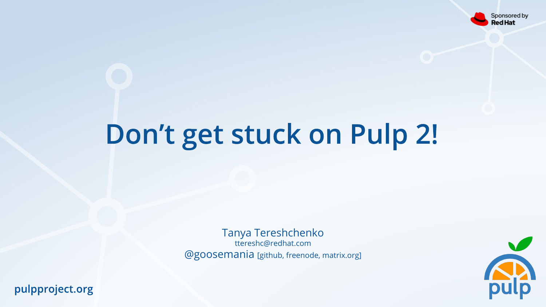

# Don't get stuck on Pulp 2!

Tanya Tereshchenko ttereshc@redhat.com @goosemania [github, freenode, matrix.org]

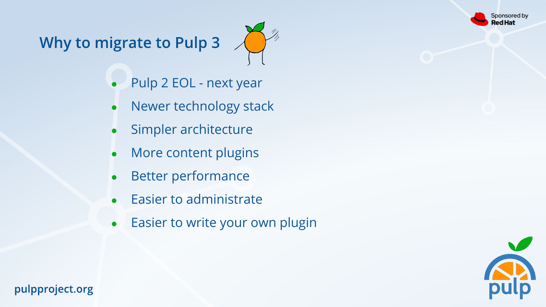ponsored by ed Hat

# Why to migrate to Pulp 3



- Pulp 2 EOL next year
- Newer technology stack
- Simpler architecture
- More content plugins
- Better performance
- Easier to administrate
- Easier to write your own plugin

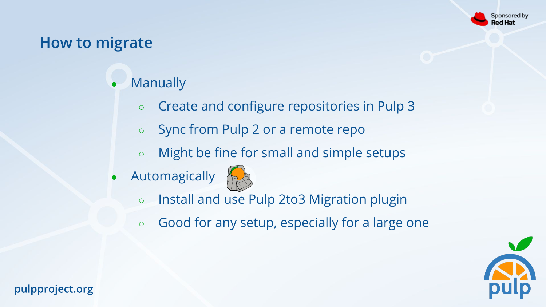

# **How to migrate**

## **Manually**

- Create and configure repositories in Pulp 3
- Sync from Pulp 2 or a remote repo
- Might be fine for small and simple setups
- Automagically



- Install and use Pulp 2to3 Migration plugin
- Good for any setup, especially for a large one

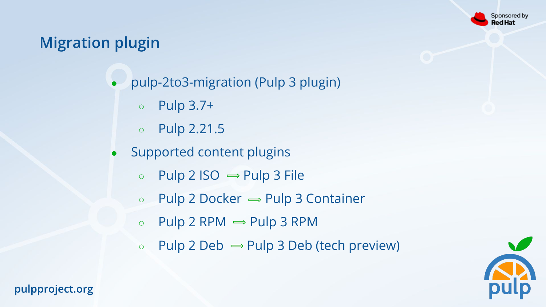

# **Migration plugin**

- pulp-2to3-migration (Pulp 3 plugin)
	- Pulp 3.7+
	- Pulp 2.21.5
- Supported content plugins
	- $\circ$  Pulp 2 ISO  $\Rightarrow$  Pulp 3 File
	- $\circ$  Pulp 2 Docker  $\Rightarrow$  Pulp 3 Container
	- $\circ$  Pulp 2 RPM  $\Rightarrow$  Pulp 3 RPM
	- $\circ$  Pulp 2 Deb  $\Rightarrow$  Pulp 3 Deb (tech preview)

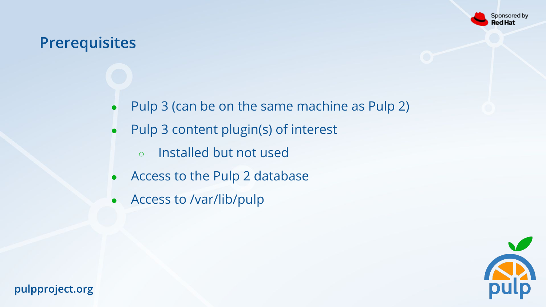

# **Prerequisites**

- Pulp 3 (can be on the same machine as Pulp 2)
- Pulp 3 content plugin(s) of interest
	- Installed but not used
- Access to the Pulp 2 database
- Access to /var/lib/pulp

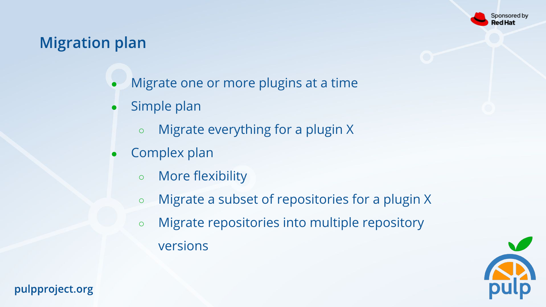

# **Migration plan**

- Migrate one or more plugins at a time
- Simple plan
	- Migrate everything for a plugin X
- Complex plan
	- More flexibility
	- Migrate a subset of repositories for a plugin X
	- Migrate repositories into multiple repository versions

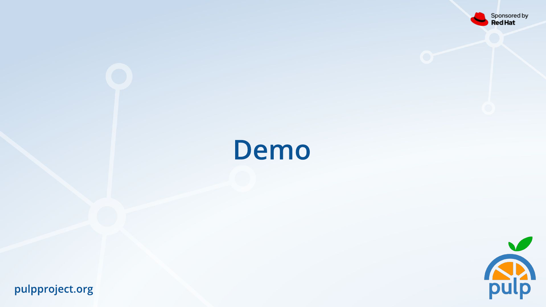

# Demo

 $\sqrt{}$ pulp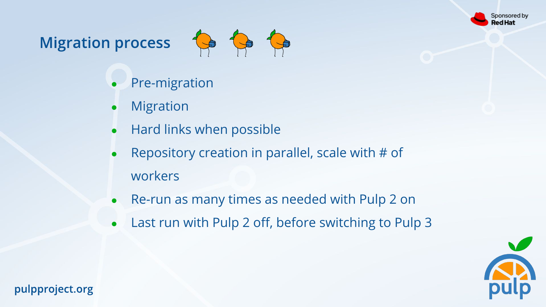

# Migration process **to the top**



- **Pre-migration**
- **Migration**
- Hard links when possible
- Repository creation in parallel, scale with  $#$  of workers
- Re-run as many times as needed with Pulp 2 on
- Last run with Pulp 2 off, before switching to Pulp 3

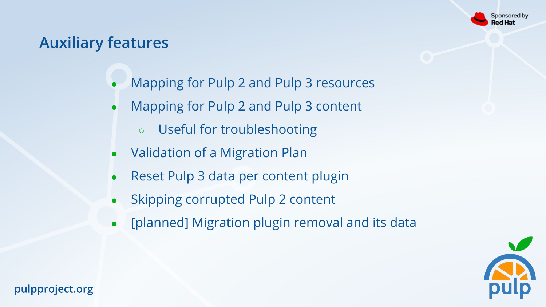

# **Auxiliary features**

- Mapping for Pulp 2 and Pulp 3 resources
- Mapping for Pulp 2 and Pulp 3 content
	- Useful for troubleshooting
- Validation of a Migration Plan
- Reset Pulp 3 data per content plugin
- Skipping corrupted Pulp 2 content
- [planned] Migration plugin removal and its data

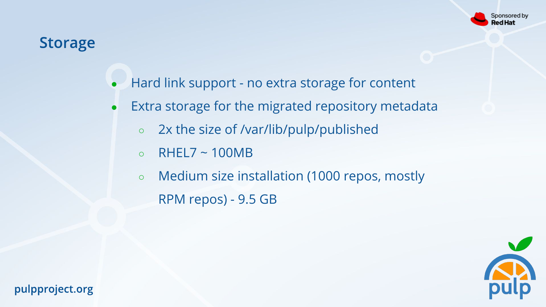

## **Storage**

- Hard link support no extra storage for content
- Extra storage for the migrated repository metadata
	- 2x the size of /var/lib/pulp/published
	- $\circ$  RHEL7 ~ 100MB
	- Medium size installation (1000 repos, mostly RPM repos) - 9.5 GB

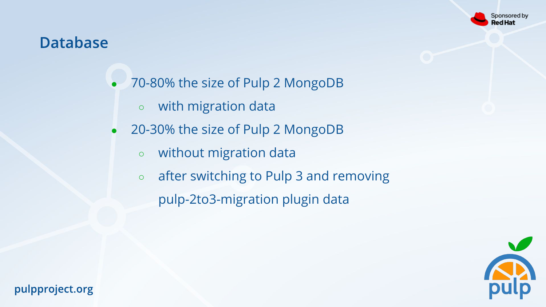#### iponsored by ed Hat

## **Database**

- 70-80% the size of Pulp 2 MongoDB
	- with migration data
- 20-30% the size of Pulp 2 MongoDB
	- without migration data
	- after switching to Pulp 3 and removing pulp-2to3-migration plugin data

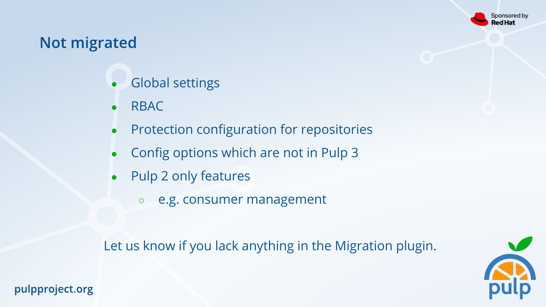

# **Not migrated**

- **Global settings**
- **RBAC**
- Protection configuration for repositories
- Config options which are not in Pulp 3
- Pulp 2 only features
	- e.g. consumer management

Let us know if you lack anything in the Migration plugin.